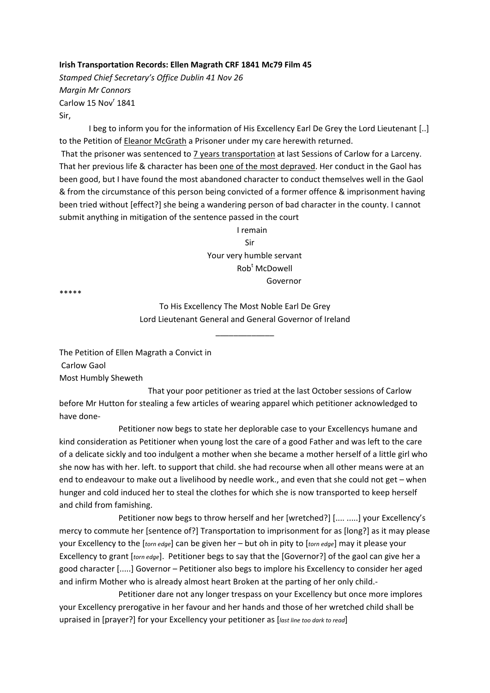## **Irish Transportation Records: Ellen Magrath CRF 1841 Mc79 Film 45**

*Stamped Chief Secretary's Office Dublin 41 Nov 26 Margin Mr Connors* Carlow 15 Nov<sup>r</sup> 1841 Sir,

I beg to inform you for the information of His Excellency Earl De Grey the Lord Lieutenant [..] to the Petition of Eleanor McGrath a Prisoner under my care herewith returned. That the prisoner was sentenced to 7 years transportation at last Sessions of Carlow for a Larceny. That her previous life & character has been one of the most depraved. Her conduct in the Gaol has been good, but I have found the most abandoned character to conduct themselves well in the Gaol & from the circumstance of this person being convicted of a former offence & imprisonment having been tried without [effect?] she being a wandering person of bad character in the county. I cannot submit anything in mitigation of the sentence passed in the court

 I remain Sir Your very humble servant Rob<sup>t</sup>  $Roh<sup>t</sup>$  McDowell Governor

\*\*\*\*\*

To His Excellency The Most Noble Earl De Grey Lord Lieutenant General and General Governor of Ireland

\_\_\_\_\_\_\_\_\_\_\_\_\_

The Petition of Ellen Magrath a Convict in Carlow Gaol Most Humbly Sheweth

 That your poor petitioner as tried at the last October sessions of Carlow before Mr Hutton for stealing a few articles of wearing apparel which petitioner acknowledged to have done‐

 Petitioner now begs to state her deplorable case to your Excellencys humane and kind consideration as Petitioner when young lost the care of a good Father and was left to the care of a delicate sickly and too indulgent a mother when she became a mother herself of a little girl who she now has with her. left. to support that child. she had recourse when all other means were at an end to endeavour to make out a livelihood by needle work., and even that she could not get – when hunger and cold induced her to steal the clothes for which she is now transported to keep herself and child from famishing.

 Petitioner now begs to throw herself and her [wretched?] [.... .....] your Excellency's mercy to commute her [sentence of?] Transportation to imprisonment for as [long?] as it may please your Excellency to the [*torn edge*] can be given her – but oh in pity to [*torn edge*] may it please your Excellency to grant [*torn edge*]. Petitioner begs to say that the [Governor?] of the gaol can give her a good character [.....] Governor – Petitioner also begs to implore his Excellency to consider her aged and infirm Mother who is already almost heart Broken at the parting of her only child.‐

 Petitioner dare not any longer trespass on your Excellency but once more implores your Excellency prerogative in her favour and her hands and those of her wretched child shall be upraised in [prayer?] for your Excellency your petitioner as [*last line too dark to read*]